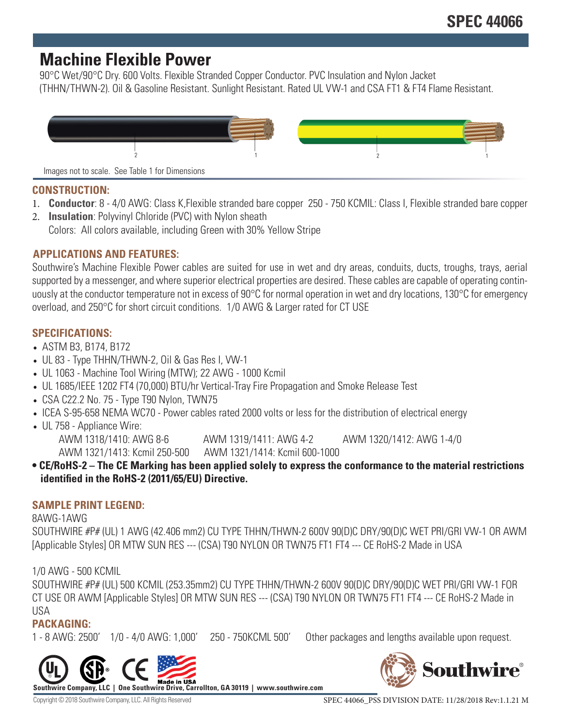# **Machine Flexible Power**

90°C Wet/90°C Dry. 600 Volts. Flexible Stranded Copper Conductor. PVC Insulation and Nylon Jacket (THHN/THWN-2). Oil & Gasoline Resistant. Sunlight Resistant. Rated UL VW-1 and CSA FT1 & FT4 Flame Resistant.



#### **CONSTRUCTION:**

- 1. **Conductor**: 8 4/0 AWG: Class K,Flexible stranded bare copper 250 750 KCMIL: Class I, Flexible stranded bare copper
- 2. **Insulation**: Polyvinyl Chloride (PVC) with Nylon sheath Colors: All colors available, including Green with 30% Yellow Stripe

# **APPLICATIONS AND FEATURES:**

Southwire's Machine Flexible Power cables are suited for use in wet and dry areas, conduits, ducts, troughs, trays, aerial supported by a messenger, and where superior electrical properties are desired. These cables are capable of operating continuously at the conductor temperature not in excess of 90°C for normal operation in wet and dry locations, 130°C for emergency overload, and 250°C for short circuit conditions. 1/0 AWG & Larger rated for CT USE

# **SPECIFICATIONS:**

- ASTM B3, B174, B172
- UL 83 Type THHN/THWN-2, Oil & Gas Res I, VW-1
- UL 1063 Machine Tool Wiring (MTW); 22 AWG 1000 Kcmil
- UL 1685/IEEE 1202 FT4 (70,000) BTU/hr Vertical-Tray Fire Propagation and Smoke Release Test
- CSA C22.2 No. 75 Type T90 Nylon, TWN75
- ICEA S-95-658 NEMA WC70 Power cables rated 2000 volts or less for the distribution of electrical energy
- UL 758 Appliance Wire:

AWM 1318/1410: AWG 8-6 AWM 1319/1411: AWG 4-2 AWM 1320/1412: AWG 1-4/0 AWM 1321/1413: Kcmil 250-500 AWM 1321/1414: Kcmil 600-1000

**• CE/RoHS-2 – The CE Marking has been applied solely to express the conformance to the material restrictions identified in the RoHS-2 (2011/65/EU) Directive.**

#### **SAMPLE PRINT LEGEND:**

#### 8AWG-1AWG

SOUTHWIRE #P# (UL) 1 AWG (42.406 mm2) CU TYPE THHN/THWN-2 600V 90(D)C DRY/90(D)C WET PRI/GRI VW-1 OR AWM [Applicable Styles] OR MTW SUN RES --- (CSA) T90 NYLON OR TWN75 FT1 FT4 --- CE RoHS-2 Made in USA

#### 1/0 AWG - 500 KCMIL

SOUTHWIRE #P# (UL) 500 KCMIL (253.35mm2) CU TYPE THHN/THWN-2 600V 90(D)C DRY/90(D)C WET PRI/GRI VW-1 FOR CT USE OR AWM [Applicable Styles] OR MTW SUN RES --- (CSA) T90 NYLON OR TWN75 FT1 FT4 --- CE RoHS-2 Made in USA

# **PACKAGING:**

1 - 8 AWG: 2500' 1/0 - 4/0 AWG: 1,000' 250 - 750KCML 500' Other packages and lengths available upon request.